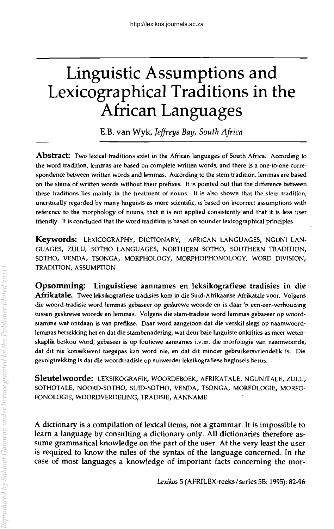# **Linguistic Assumptions and Lexicographical Traditions in the African Languages**

E.B. van Wyk, *Jeffreys Bay, South Africa* 

**Abstract:** Two lexical traditions exist in the African languages of South Africa. According to the word tradition, lemmas are based on complete written words, and there is a one-to-one correspondence between written words and lemmas. According to the stem tradition, lemmas are based on the stems of written words without their prefixes. It is pointed out that the difference between these traditions lies mainly in the treatment of nouns. It is also shown that the stem tradition, uncritically regarded by many linguists as more scientific, is based on incorrect assumptions with reference to the morphology of nouns, that it is not applied consistently and that it is less user friendly. It is concluded that the word tradition is based on sounder lexicographical principles.

Keywords: LEXICOGRAPHY, DICTIONARY, AFRICAN LANGUAGES, NGUNI LAN-GUAGES, ZULU, SOTHO LANGUAGES, NORTHERN SOTHO, SOUTHERN TRADITION, SOTHO, VENDA, TSONGA, MORPHOLOGY, MORPHOPHONOLOGY, WORD DIVISION, TRADITION, ASSUMPTION

Opsomming: Linguistiese aannames en leksikografiese tradisies in die Afrikatale. *Twee* leksikografiese tradisies kom in die Suid-Afrikaanse Afrikatale voor. Volgens die woord-tradisie word lemmas gebaseer op geskrewe woorde en is daar 'n een-een-verhouding tussen geskrewe woorde en lemmas. Volgens die stam-tradisie word lemmas gebaseer op woordstamme wat ontdaan is van prefikse. Daar word aangetoon dat die verskil slegs op naamwoordlemmas betrekking het en dat die stambenadering, wat deur baie linguiste onkrities as meer wetenskaplik beskou word, gebaseer is op foutiewe aannames i.v.m. die morfologie van naamwoorde, dat dit nie konsekwent toegepas kan word nie, en dat dit minder gebruikersvriendelik is. Die gevolgtrekking is dat die woordtradisie op suiwerder leksikografiese beginsels berus.

Sleutelwoorde: LEKSTKOGRAFIE, WOORDEBOEK, AFRIKATALE, NGUNITALE, ZULU, SOTHOTALE, NOORD-SOTHO, SUID-SOTHO, VENDA, TSONGA, MORFOLOGIE, MORFO-FONOLOGIE, WOORDVERDELING, TRADISIE, AANNAME

A dictionary is a compilation of lexical items, not a grammar. It is impossible to learn a language by consulting a dictionary only. All dictionaries therefore assume grammatical knowledge on the part of the user. At the very least the user is required to know the rules of the syntax of the language concerned. In the case of most languages a knowledge of important facts concerning the mor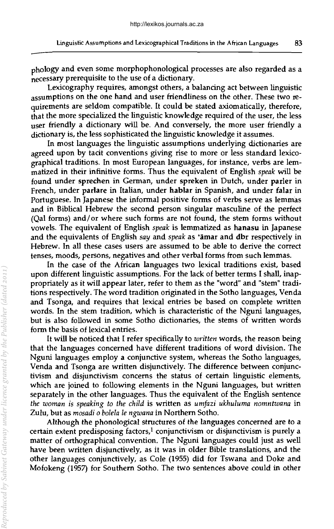phology and even some morphophonological processes are also regarded as a necessary prerequisite to the use of a dictionary.

Lexicography requires, amongst others, a balancing act between linguistic assumptions on the one hand and user friendliness on the other. These two requirements are seldom compatible. It could be stated axiomatically, therefore, that the more specialized the linguistic knowledge required of the user, the less user friendly a dictionary will be. And conversely, the more user friendly a dictionary is, the less sophisticated the linguistic knowledge it assumes.

In most languages the linguistic assumptions underlying dictionaries are agreed upon by tacit conventions giving rise to more or less standard lexicographical traditions. In most European languages, for instance, verbs are lemmatized in their infinitive forms. Thus the equivalent of English *speak* will be found under sprechen in German, under spreken in Dutch, under parler in French, under parlare in Italian, under hablar in Spanish, and under falar in Portuguese. In Japanese the informal positive forms of verbs serve as lemmas and in Biblical Hebrew the second person singular masculine of the perfect (Oal forms) and/or where such forms are not found, the stem forms without vowels. The equivalent of English *speak* is lemmatized as hanasu in Japanese and the equivalents of English *say* and *speak* as 'amar and dbr respectively in Hebrew. In all these cases users are assumed to be able to derive the correct tenses, moods, persons, negatives and other verbal forms from such lemmas.

In the case of the African languages two lexical traditions exist, based upon different linguistic assumptions. For the lack of better terms I shall, inappropriately as it will appear later, refer to them as the "word" and "stem" traditions respectively. The word tradition originated in the Sotho languages, Venda and Tsonga, and requires that lexical entries be based on complete written words. In the stem tradition, which is characteristic of the Nguni languages, but is also followed in some Sotho dictionaries, the stems of written words form the basis of lexical entries.

It will be noticed that I refer specifically to *written* words, the reason being that the languages concerned have different traditions of word division. The Nguni languages employ a conjunctive system, whereas the Sotho languages, Venda and Tsonga are written disjunctively. The difference between conjunctivism and disjunctivism concerns the status of certain linguistic elements, which are joined to following elements in the Nguni languages, but written separately in the other languages. Thus the equivalent of the English sentence *the woman is speaking to the child* is written as *umJazi ukhuluma nomntwana* in Zulu, but as *mosadi* 0 *bolela Ie ngwana* in Northern Sotho.

Although the phonological structures of the languages concerned are to a certain extent predisposing factors, $1$  conjunctivism or disjunctivism is purely a matter of orthographical convention. The Nguni languages could just as well have been written disjunctively, as it was in older Bible translations, and the other languages conjunctively, as Cole (1955) did for Tswana and Doke and Mofokeng (1957) for Southern Sotho. The two sentences above could in other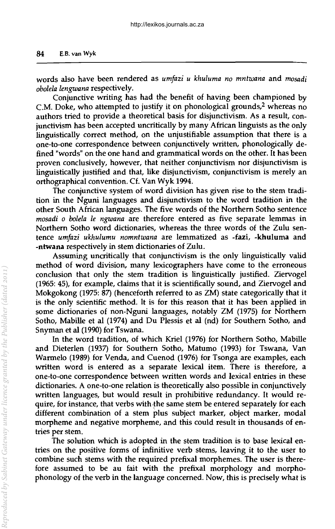words also have been rendered as *umJazi u khuluma no mntwana* and *mosadi obolela lengwana* respectively.

Conjunctive writing has had the benefit of having been championed by C.M. Doke, who attempted to justify it on phonological grounds,<sup>2</sup> whereas no authors tried to provide a theoretical basis for disjunctivism. As a result, conjunctivism has been accepted uncritically by many African linguists as the only linguistically correct method, on the unjustifiable assumption that there is a one-to-one correspondence between conjunctively written, phonolOgically defined "words" on the one hand and grammatical words on the other. It has been proven conclusively, however, that neither conjunctivism nor disjunctivism is linguistically justified and that, like disjunctivism, conjunctivism is merely an orthographical convention. Cf. Van Wyk 1994.

The conjunctive system of word division has given rise to the stem tradition in the Nguni languages and disjunctivism to the word tradition in the other South African languages. The five words of the Northern Sotho sentence *mosadi* 0 *bolela Ie ngwana* are therefore entered as five separate lemmas in Northern Sotho word dictionaries, whereas the three words of the Zulu sentence *umJazi ukhulumu nomntwana* are lemmatized as -fazi, -khuluma and -ntwana respectively in stem dictionaries of Zulu.

Assuming uncritically that conjunctivism is the only linguistically valid method of word division, many lexicographers have come to the erroneous conclusion that only the stem tradition is linguistically justified. Ziervogel (1965: 45), for example, claims that it is scientifically sound, and Ziervogel and Mokgokong (1975: 87) (henceforth referred to as ZM) state categorically that it is the only scientific method. It is for this reason that it has been applied in some dictionaries of non-Nguni languages, notably ZM (1975) for Northern Sotho, Mabille et al (1974) and Du Plessis et al (nd) for Southern Sotho, and Snyman et al (1990) for Tswana.

In the word tradition, of which Kriel (1976) for Northern Sotho, Mabille and Dieterlen (1937) for Southern Sotho, Matumo (1993) for Tswana, Van Warmelo (1989) for Venda, and Cuenod (1976) for Tsonga are examples, each written word is entered as a separate lexical item. There is therefore, a one-to-one correspondence between written words and lexical entries in these dictionaries. A one-to-one relation is theoretically also possible in conjunctively written languages, but would result in prohibitive redundancy. It would require, for instance, that verbs with the same stem be entered separately for each different combination of a stem plus subject marker, object marker, modal morpheme and negative morpheme, and this could result in thousands of entries per stem.

The solution which is adopted in the stem tradition is to base lexical entries on the positive forms of infinitive verb stems, leaving it to the user to combine such stems with the required prefixal morphemes. The user is therefore assumed to be au fait with the prefixal morphology and morphophonology of the verb in the language concerned. Now, this is precisely what is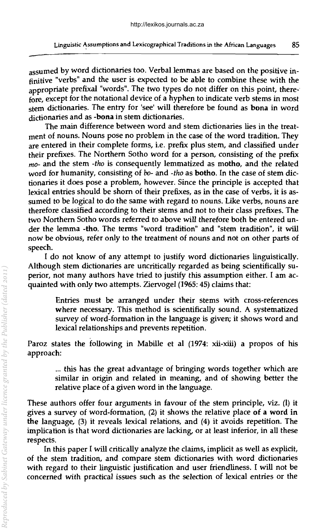assumed by word dictionaries too. Verbal lemmas are based on the positive infinitive "verbs" and the user is expected to be able to combine these with the appropriate prefixal "words". The two types do not differ on this point, therefore, except for the notational device of a hyphen to indicate verb stems in most stem dictionaries. The entry for 'see' will therefore be found as bona in word dictionaries and as -bona in stem dictionaries.

The main difference between word and stem dictionaries lies in the treatment of nouns. Nouns pose no problem in the case of the word tradition. They are entered in their complete forms, i.e. prefix plus stem, and classified under their prefixes. The Northern Sotho word for a person, consisting of the prefix *mo-* and the stem *-tho* is consequently lemmatized as motho, and the related word for humanity, consisting of *bo-* and *-tho* as botho. In the case of stem dictionaries it does pose a problem, however. Since the principle is accepted that lexical entries should be shorn of their prefixes, as in the case of verbs, it is assumed to be logical to do the same with regard to nouns. Like verbs, nouns are therefore classified according to their stems and not to their class prefixes. The two Northern Sotho words referred to above will therefore both be entered under the lemma -tho. The terms "word tradition" and "stem tradition", it will now be obvious, refer only to the treatment of nouns and not on other parts of speech.

I do not know of any attempt to justify word dictionaries linguistically. Although stem dictionaries are uncritically regarded as being scientifically superior, not many authors have tried to justify this assumption either. I am acquainted with only two attempts. Ziervogel (1965: 45) claims that:

> Entries must be arranged under their stems with cross-references where necessary. This method is scientifically sound. A systematized survey of word-formation in the language is given; it shows word and lexical relationships and prevents repetition.

Paroz states the following in Mabille et al (1974: xii-xiii) a propos of his approach:

> ... this has the great advantage of bringing words together which are similar in origin and related in meaning, and of showing better the relative place of a given word in the language.

These authors offer four arguments in favour of the stem principle, viz. (I) it gives a survey of word-formation, (2) it shows the relative place of a word in the language, (3) it reveals lexical relations, and (4) it avoids repetition. The implication is that word dictionaries are lacking, or at least inferior, in all these respects.

In this paper I will critically analyze the claims, implicit as well as explicit, of the stem tradition, and compare stem dictionaries with word dictionaries with regard to their linguistic justification and user friendliness. I will not be concerned with practical issues such as the selection of lexical entries or the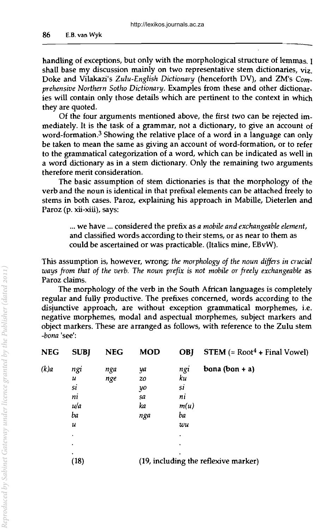handling of exceptions, but only with the morphological structure of lemmas. I shall base my discussion mainly on two representative stem dictionaries, viz. Doke and Vilakazi's *Zulu-English Dictionary* (henceforth DV), and ZM's *Comprehensive Northem Sotho Dictionary.* Examples from these and other dictionaries will contain only those details which are pertinent to the context in which they are quoted.

Of the four arguments mentioned above, the first two can be rejected immediately. It is the task of a grammar, not a dictionary, to give an account of word-formation.3 Showing the relative place of a word in a language can only be taken to mean the same as giving an account of word-formation, or to refer to the grammatical categorization of a word, which can be indicated as well in a word dictionary as in a stem dictionary. Only the remaining two arguments therefore merit consideration.

The basic assumption of stem dictionaries is that the morphology of the verb and the noun is identical in that prefixal elements can be attached freely to stems in both cases. Paroz, explaining his approach in Mabille, Dieterlen and Paroz (p. xii-xiii), says:

> ... we have ... considered the prefix as *a mobile and exchangeable element,*  and classified words according to their stems, or as near to them as could be ascertained or was practicable. (Italics mine, EBvW).

This assumption is, however, wrong; the morphology of the noun differs in crucial *ways from that of the verb. The noun prefix* is *not mobile* or *freely exchangeable* as Paroz claims.

The morphology of the verb in the South African languages is completely regular and fully productive. The prefixes concerned, words according to the disjunctive approach, are without exception grammatical morphemes, i.e. negative morphemes, modal and aspectual morphemes, subject markers and object markers. These are arranged as follows, with reference to the Zulu stem *-bona* 'see':

| NEG  | <b>SUBI</b> | <b>NEG</b> | <b>MOD</b> | <b>OBJ</b> | <b>STEM</b> $(= Root4 + Final Vowel)$ |
|------|-------------|------------|------------|------------|---------------------------------------|
| (k)a | ngi         | nga        | ya         | ngi        | bona (bon + $a$ )                     |
|      | u           | nge        | 20         | ku         |                                       |
|      | si          |            | yo         | si         |                                       |
|      | ni          |            | sa         | ni         |                                       |
|      | u/a         |            | ka         | m(u)       |                                       |
|      | ba          |            | nga        | ba         |                                       |
|      | и           |            |            | wu         |                                       |
|      | $\bullet$   |            |            | ٠          |                                       |
|      | $\bullet$   |            |            | ٠          |                                       |
|      | ٠<br>(18)   |            |            |            | (19, including the reflexive marker)  |
|      |             |            |            |            |                                       |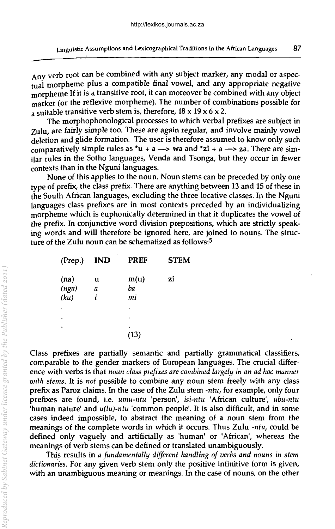Any verb root can be combined with any subject marker, any modal or aspectual morpheme plus a compatible final vowel, and any appropriate negative morpheme If it is a transitive root, it can moreover be combined with any object marker (or the reflexive morpheme). The number of combinations possible for a suitable transitive verb stem is, therefore,  $18 \times 19 \times 6 \times 2$ .

The morphophonological processes to which verbal prefixes are subject in Zulu, are fairly simple too. These are again regular, and involve mainly vowel deletion and glide formation. The user is therefore assumed to know only such comparatively simple rules as  $\mathbf{u} + \mathbf{a} \rightarrow \mathbf{v}$  and  $\mathbf{z}$  +  $\mathbf{a} \rightarrow \mathbf{z}$  a. There are similar rules in the Sotho languages, Venda and Tsonga, but they occur in fewer contexts than in the Nguni languages.

None of this applies to the noun. Noun stems can be preceded by only one type of prefix, the class prefix. There are anything between 13 and 15 of these in the South African languages, excluding the three locative classes. In the Nguni languages class prefixes are in most contexts preceded by an individualizing morpheme which is euphonically determined in that it duplicates the vowel of the prefix. In conjunctive word division prepositions, which are strictly speaking words and will therefore be ignored here, are joined to nouns. The structure of the Zulu noun can be schematized as follows:5

| (Prep.) | <b>IND</b> | <b>PREF</b> | <b>STEM</b> |
|---------|------------|-------------|-------------|
| (na)    | u          | m(u)        | zi          |
| (nga)   | a          | ba          |             |
| (ku)    | i          | mi          |             |
| ٠       |            | ٠           |             |
|         |            | ٠           |             |
| í.      |            | ٠<br>(13)   |             |

Class prefixes are partially semantic and partially grammatical classifiers, comparable to the gender markers of European languages. The crucial difference with verbs is that *noun class prefixes are combined largely in an ad hoc manner with stems.* It is *not* possible to combine any noun stem freely with any class prefix as Paroz claims. In the case of the Zulu stem *-ntu,* for example, only four prefixes are found, i.e. *umu-ntu* 'person', *isi-ntu* 'African culture', *ubu-ntu*  'human nature' and *u(lu)-ntu* 'common people'. It is also difficult, and in some cases indeed impossible, to abstract the meaning of a noun stem from the meanings of the complete words in which it occurs. Thus Zulu *-ntu,* could be defined only vaguely and artificially as 'human' or 'African', whereas the meanings of verb stems can be defined or translated unambiguously.

This results in *a fundamentally different handling of verbs and nouns in stem dictionaries.* For any given verb stem only the positive infinitive form is given, with an unambiguous meaning or meanings. In the case of nouns, on the other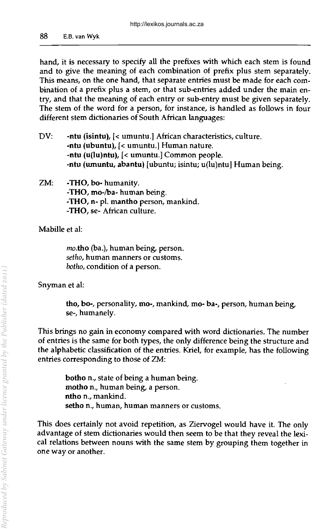hand, it is necessary to specify all the prefixes with which each stem is found and to give the meaning of each combination of prefix plus stem separately. This means, on the one hand, that separate entries must be made for each combination of a prefix plus a stem, or that sub-entries added under the main entry, and that the meaning of each entry or sub-entry must be given separately. The stem of the word for a person, for instance, is handled as follows in four different stem dictionaries of South African languages:

- DV: -ntu (isintu), [< umuntu.] African characteristics, culture. -ntu (ubuntu), [< umuntu.] Human nature. -ntu (u(lu)ntu), [< umuntu.] Common people. -ntu (umuntu, abantu) [ubuntu; isintu; u(lu)ntu] Human being.
- ZM: -THO, bo- humanity. -THO, mo-/ba- human being. -THO, n- pI. mantho person, mankind. -THO, se- African culture.

Mabille et al:

mo.tho (ba.), human being, person. *setho,* human manners or customs. *botho,* condition of a person.

Snyrnan et al:

tho, bo-, personality, mo-, mankind, mo- ba-, person, human being, se-, humanely.

This brings no gain in economy compared with word dictionaries. The number of entries is the same for both types, the only difference being the structure and the alphabetic classification of the entries. Kriel, for example, has the following entries corresponding to those of ZM:

> botho n., state of being a human being. motho n., human being, a person. ntho n., mankind. setho n., human, human manners or customs.

This does certainly not avoid repetition, as Ziervogel would have it. The only advantage of stem dictionaries would then seem to be that they reveal the lexical relations between nouns with the same stem by grouping them together in one way or another.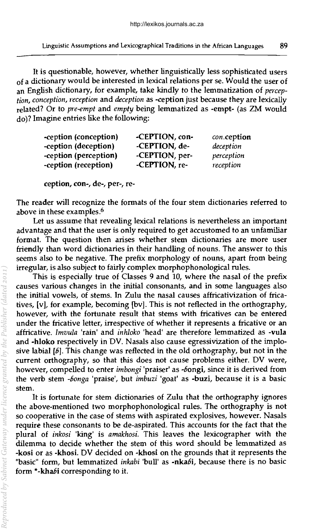It is questionable, however, whether linguistically less sophisticated users of a dictionary would be interested in lexical relations per se. Would the user of an English dictionary, for example, take kindly to the lemmatization of *perception, conception, reception* and *deception* as -ception just because they are lexically related? Or to *pre-empt* and *empty* being lemmatized as -empt- (as ZM would do)? Imagine entries like the following:

| -ception (conception) | -CEPTION, con- | con.ception |
|-----------------------|----------------|-------------|
| -ception (deception)  | -CEPTION, de-  | deception   |
| -ception (perception) | -CEPTION, per- | perception  |
| -ception (reception)  | -CEPTION, re-  | reception   |

ception, con-, de-, per-, re-

The reader will recognize the formats of the four stem dictionaries referred to above in these examples.6

Let us assume that revealing lexical relations is nevertheless an important advantage and that the user is only required to get accustomed to an unfamiliar format. The question then arises whether stem dictionaries are more user friendly than word dictionaries in their handling of nouns. The answer to this seems also to be negative. The prefix morphology of nouns, apart from being irregular, is also subject to fairly complex morphophonological rules.

This is especially true of Classes 9 and 10, where the nasal of the prefix causes various changes in the initial consonants, and in some languages also the initial vowels, of stems. In Zulu the nasal causes affricativization of fricatives, [v], for example, becoming [bv]. This is not reflected in the orthography, however, with the fortunate result that stems with fricatives can be entered under the fricative letter, irrespective of whether it represents a fricative or an affricative. *Imvula* 'rain' and *inhloko* 'head' are therefore lemmatized as -vula and -hloko respectively in DV. Nasals also cause egressivization of the implosive labial [6]. This change was reflected in the old orthography, but not in the current orthography, so that this does not cause problems either. DV were, however, compelled to enter *imbongi* 'praiser' as -6ongi, since it is derived from the verb stem *-6onga* 'praise', but *imbuzi* 'goat' as -buzi, because it is a basic stem.

It is fortunate for stem dictionaries of Zulu that the orthography ignores the above-mentioned two morphophonological rules. The orthography is not so cooperative in the case of stems with aspirated explosives, however. Nasals require these consonants to be de-aspirated. This accounts for the fact that the plural of *inkosi* 'king' is *amakhosi.* This leaves the lexicographer with the dilemma to decide whether the stem of this word should be lemmatized as -kosi or as -khosi. DV decided on -khosi on the grounds that it represents the "basic" form, but lemmatized *inkabi* 'bull' as -nka6i, because there is no basic form "-khabi corresponding to it.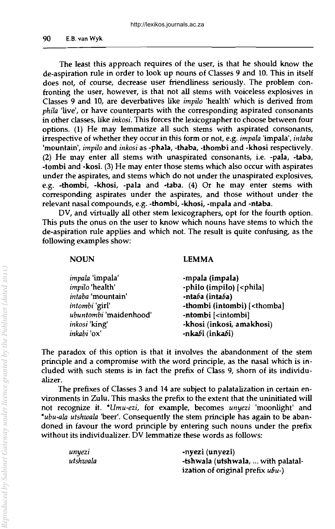The least this approach requires of the user, is that he should know the de-aspiration rule in order to look up nouns of Classes 9 and 10. This in itself does not, of course, decrease user friendliness seriously. The problem confronting the user, however, is that not all stems with voiceless explosives in Classes 9 and 10, are deverbatives like *impilo* 'health' which is derived from *phila* 'live', or have counterparts with the corresponding aspirated consonants in other classes, like inkosi. This forces the lexicographer to choose between four options. (1) He may lemmatize all such stems with aspirated consonants, irrespective of whether they occur in this form or not, e.g. *impala* 'impala', *illtaba*  'mountain', *impilo* and *inkosi* as -phaJa, -thaba, -thombi and -khosi respectively. (2) He may enter all stems with unaspirated consonants, i.e. -pala, -taba, -tombi and -kosi. (3) He may enter those stems which also occur with aspirates under the aspirates, and stems which do not under the unaspirated explosives, e.g. -thombi, -khosi, -pala and -taba. (4) Or he may enter stems with corresponding aspirates under the aspirates, and those without under the relevant nasal compounds, e.g. -thombi, -khosi, -mpala and -ntaba.

DV, and virtually all other stem lexicographers, opt for the fourth option. This puts the onus on the user to know which nouns have stems to which the de-aspiration rule applies and which not. The result is quite confusing, as the following examples show:

#### NOUN

#### LEMMA

| impala 'impala'        | -mpala (impala)                                 |
|------------------------|-------------------------------------------------|
| impilo 'health'        | -philo (impilo) [ <phila]< td=""></phila]<>     |
| intaba 'mountain'      | -ntaba (intaba)                                 |
| intombi 'girl'         | -thombi (intombi) [ <thomba]< td=""></thomba]<> |
| ubuntombi 'maidenhood' | -ntombi [ <intombi]< td=""></intombi]<>         |
| <i>inkosi</i> 'king'   | -khosi (inkosi, amakhosi)                       |
| inkabi 'ox'            | -nkabi (inkabi)                                 |

The paradox of this option is that it involves the abandonment of the stem principle and a compromise with the word principle, as the nasal which is included with such stems is in fact the prefix of Class 9, shorn of its individualizer.

The prefixes of Classes 3 and 14 are subject to palatalization in certain environments in Zulu. This masks the prefix to the extent that the uninitiated will not recognize it. *"Umu-ezi,* for example, becomes *unyezi* 'moonlight' and *"ubu-ala utshwala* 'beer'. Consequently the stem principle has again to be abandoned in favour the word principle by entering such nouns under the prefix without its individualizer. DV lemmatize these words as follows:

| unyezi   | -nyezi (unyezi)                    |
|----------|------------------------------------|
| utshwala | -tshwala (utshwala,  with palatal- |
|          | ization of original prefix ubu-)   |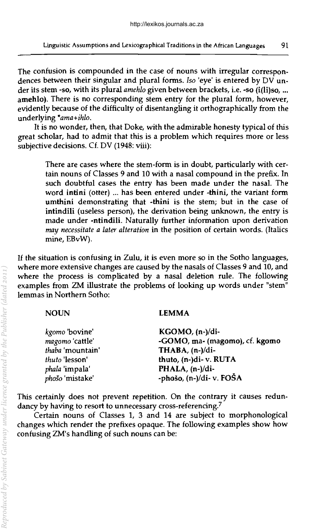The confusion is compounded in the case of nouns with irregular correspondences between their singular and plural forms. *Iso* 'eye' is entered by DV under its stem -so, with its plural *amehlo* given between brackets, i.e. -so (i(li)so, ... amehlo). There is no corresponding stem entry for the plural form, however, evidently because of the difficulty of disentangling it orthographically from the underlying *·ama+ihlo.* 

It is no wonder, then, that Doke, with the admirable honesty typical of this great scholar, had to admit that this is a problem which requires more or less subjective decisions. Cf. DV (1948: viii):

There are cases where the stem-form is in doubt, particularly with certain nouns of Classes 9 and 10 with a nasal compound in the prefix. In such doubtful cases the entry has been made under the nasal. The word intini (otter) ... has been entered under -thini, the variant form umthini demonstrating that -thini is the stem; but in the case of intindili (useless person), the derivation being unknown, the entry is made under -ntindili. Naturally further information upon derivation *may necessitate a later alteration* in the position of certain words. (Italics mine, EBvW).

If the situation is confusing in Zulu, it is even more so in the Sotho languages, where more extensive changes are caused by the nasals of Classes 9 and 10, and where the process is complicated by a nasal deletion rule. The following examples from ZM illustrate the problems of looking up words under "stem" lemmas in Northern Sotho:

# NOUN

#### LEMMA

| kgomo 'bovine'   | KGOMO, (n-)/di-                |
|------------------|--------------------------------|
| magomo 'cattle'  | -GOMO, ma- (magomo), cf. kgomo |
| thaba 'mountain' | THABA, (n-)/di-                |
| thuto 'lesson'   | thuto, (n-)di-v. RUTA          |
| phala 'impala'   | PHALA, (n-)/di-                |
| phošo 'mistake'  | -phošo, (n-)/di- v. FOŠA       |

This certainly does not prevent repetition. On the contrary it causes redundancy by having to resort to unnecessary cross-referencing.<sup>7</sup>

Certain nouns of Classes I, 3 and 14 are subject to morphonological changes which render the prefixes opaque. The following examples show how confusing ZM's handling of such nouns can be: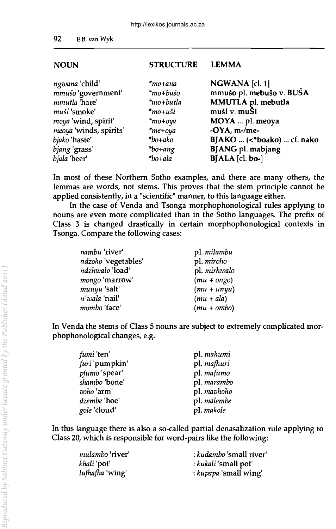### **NOUN**

**STRUCTURE** LEMMA

| ngwana 'child'         | $*$ mo+ana          | NGWANA [cl. 1]             |
|------------------------|---------------------|----------------------------|
| mmušo 'government'     | *mo+bušo            | mmušo pl. mebušo v. BUŠA   |
| mmutla 'hare'          | *mo+butla           | MMUTLA pl. mebutla         |
| muši 'smoke'           | $*$ mo+uši          | muši v. muŠI               |
| moya 'wind, spirit'    | $*$ mo+oya          | MOYA  pl. meoya            |
| meoya 'winds, spirits' | $*$ me+oya          | $-OYA$ , m $-/m$ e $-$     |
| <i>bjako</i> 'haste'   | $*bo+ako$           | BJAKO  (<*boako)  cf. nako |
| bjang 'grass'          | $*_{\text{bo+ang}}$ | <b>BJANG</b> pl. mabjang   |
| bjala 'beer'           | *bo+ala             | BJALA [cl. bo-]            |
|                        |                     |                            |

In most of these Northern Sotho examples, and there are many others, the lemmas are words, not stems. This proves that the stem principle cannot be applied consistently, in a "scientific" manner, to this language either.

In the case of Venda and Tsonga morphophonological rules applying to nouns are even more complicated than in the Sotho languages. The prefix of Class 3 is changed drastically in certain morphophonological contexts in Tsonga. Compare the following cases:

| nambu 'river'        | pl. milambu   |
|----------------------|---------------|
| ndzoho 'vegetables'  | pl. miroho    |
| ndzhwalo 'load'      | pl. mirhwalo  |
| mongo 'marrow'       | $(mu + ongo)$ |
| munyu 'salt'         | $(mu + unyu)$ |
| <i>n'wala</i> 'nail' | $(mu + ala)$  |
| mombo 'face'         | $(mu + ombo)$ |

In Venda the stems of Class 5 nouns are subject to extremely complicated morphophonological changes, e.g.

| <i>fumi</i> 'ten' | pl. mahumi  |
|-------------------|-------------|
| furi 'pumpkin'    | pl. mafhuri |
| pfumo 'spear'     | pl. mafumo  |
| shambo 'bone'     | pl. marambo |
| voho 'arm'        | pl. mavhoho |
| dzembe 'hoe'      | pl. malembe |
| gole 'cloud'      | pl. makole  |

In this language there is also a so-called partial denasalization rule applying to Class 20, which is responsible for word-pairs like the following:

| <i>mulambo</i> 'river' | : kudambo 'small river' |
|------------------------|-------------------------|
| khali 'pot'            | : kukali 'small pot'    |
| <i>lufhafha</i> 'wing' | : kupapa 'small wing'   |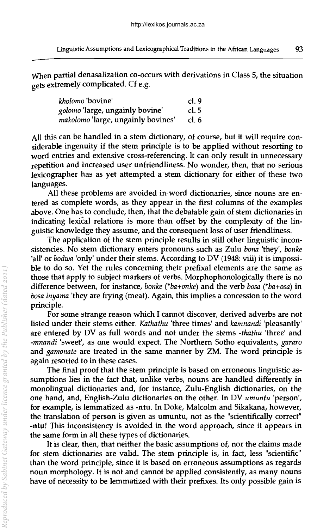When partial denasalization co-occurs with derivations in Class 5, the situation  $\sigma$ ets extremely complicated. Cf e.g.

| kholomo 'bovine'                   | cl.9    |
|------------------------------------|---------|
| golomo 'large, ungainly bovine'    | cl. $5$ |
| makolomo 'large, ungainly bovines' | cl. 6   |

All this can be handled in a stem dictionary, of course, but it will require considerable ingenuity if the stem principle is to be applied without resorting to word entries and extensive cross-referencing. It can only result in unnecessary repetition and increased user unfriendliness. No wonder, then, that no serious lexicographer has as yet attempted a stem dictionary for either of these two languages.

All these problems are avoided in word dictionaries, since nouns are entered as complete words, as they appear in the first columns of the examples above. One has to conclude, then, that the debatable gain of stem dictionaries in indicating lexical relations is more than offset by the complexity of the linguistic knowledge they assume, and the consequent loss of user friendliness.

The application of the stem principle results in still other linguistic inconsistencies. No stem dictionary enters pronouns such as Zulu *bona* 'they', *bonke*  'all' or *bodwa* 'only' under their stems. According to DV (1948: viii) it is impossible to do so. Yet the rules concerning their prefixal elements are the same as those that apply to subject markers of verbs. Morphophonologically there is no difference between, for instance, *bonke (\*ba+onke)* and the verb *bosa (\*ba+osa)* in *bosa inyama* 'they are frying (meat). Again, this implies a concession to the word principle.

For some strange reason which I cannot discover, derived adverbs are not listed under their stems either. *Kathathu* 'three times' and *kamnandi* 'pleasantly' are entered by DV as full words and not under the stems *-thathu* 'three' and *-mnandi* 'sweet', as one would expect. The Northern Sotho equivalents, *gararo*  and *gamonate* are treated in the same manner by ZM. The word principle is again resorted to in these cases.

The final proof that the stem principle is based on erroneous linguistic assumptions lies in the fact that, unlike verbs, nouns are handled differently in monolingual dictionaries and, for instance, Zulu-English dictionaries, on the one hand, and, English-Zulu dictionaries on the other. In DV *umuntu* 'person', for example, is lemmatized as -ntu. In Doke, Malcolm and Sikakana, however, the translation of person is given as umuntu, not as the "scientifically correct" -ntu! This inconsistency is avoided in the word approach, since it appears in the same form in all these types of dictionaries.

It is clear, then, that neither the basic assumptions of, nor the claims made for stem dictionaries are valid. The stem principle is, in fact, less "scientific" than the word principle, since it is based on erroneous assumptions as regards noun morphology. It is not and cannot be applied consistently, as many nouns have of necessity to be lemmatized with their prefixes. Its only possible gain is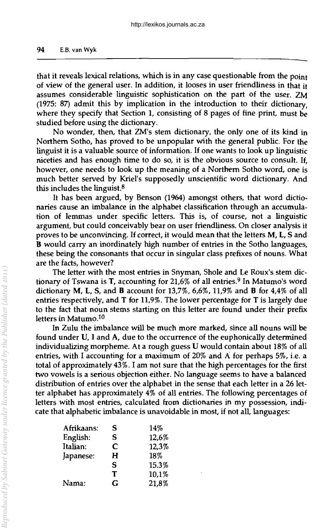that it reveals lexical relations, which is in any case questionable from the point of view of the general user. In addition, it looses in user friendliness in that it assumes considerable linguistic sophistication on the part of the user. ZM (1975: 87) admit this by implication in the introduction to their dictionary, where they specify that Section 1, consisting of 8 pages of fine print, must be studied before using the dictionary.

No wonder, then, that ZM's stem dictionary, the only one of its kind in Northern Sotho, has proved to be unpopular with the general public. For the linguist it is a valuable source of information. If one wants to look up linguistic niceties and has enough time to do so, it is the obvious source to consult. If, however, one needs to look up the meaning of a Northern Sotho word, one is much better served by Kriel's supposedly unscientific word dictionary. And this includes the linguist.8

It has been argued, by Benson (1964) amongst others, that word dictionaries cause an imbalance in the alphabet classification through an accumulation of lemmas under specific letters. This is, of course, not a linguistic argument, but could conceivably bear on user friendliness. On closer analysis it proves to be unconvincing. If correct, it would mean that the letters M, L, 5 and B would carry an inordinately high number of entries in the Sotho languages, these being the consonants that occur in Singular class prefixes of nouns. What are the facts, however?

The letter with the most entries in Snyman, Shole and Le Roux's stem dictionary of Tswana is T, accounting for 21,6% of all entries.<sup>9</sup> In Matumo's word dictionary M, L, 5, and B account for 13,7%, 6,6%, 11,9% and B for 4,4% of all entries respectively, and T for 11,9%. The lower percentage for T is largely due to the fact that noun stems starting on this letter are found under their prefix letters in Matumo.1o

In Zulu the imbalance will be much more marked, since all nouns will be found under V, I and A, due to the occurrence of the euphonically determined individualizing morpheme. At a rough guess V would contain about 18% of all entries, with I accounting for a maximum of 20% and A for perhaps 5%, i.e. a total of approximately 43%. I am not sure that the high percentages for the first two vowels is a serious objection either. No language seems to have a balanced distribution of entries over the alphabet in the sense that each letter in a 26 letter alphabet has approximately 4% of all entries. The following percentages of letters with most entries, calculated from dictionaries in my possession, indicate that alphabetic imbalance is unavoidable in most, if not all, languages:

| Afrikaans: | S | 14%   |
|------------|---|-------|
| English:   | S | 12,6% |
| Italian:   | C | 12,3% |
| Japanese:  | H | 18%   |
|            | S | 15.3% |
|            | T | 10,1% |
| Nama:      | G | 21,8% |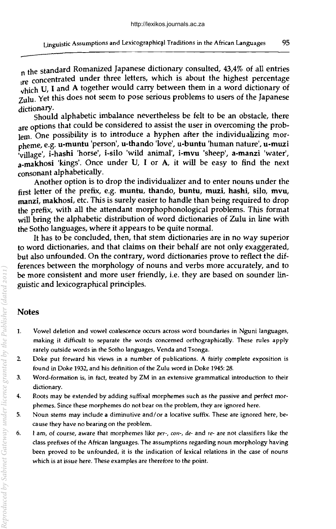Linguistic Assumptions and Lexicographical Traditions in the African Languages 95<br>1951 - The standard Romanized Japanese dictionary consulted, 43,4% of all entries  $\frac{1}{12}$  re concentrated under three letters, which is about the highest percentage  $\sqrt{n}$ ich U, I and A together would carry between them in a word dictionary of Zulu. Yet this does not seem to pose serious problems to users of the Japanese

dictionary. Should alphabetic imbalance nevertheless be felt to be an obstacle, there are options that could be considered to assist the user in overcoming the problem. One possibility is to introduce a hyphen after the individualizing morpheme, e.g. u-muntu 'person', u-thando 'love', u-buntu 'human nature', u-muzi 'village', i-hashi 'horse', i-silo 'wild animal', i-mvu 'sheep', a-manzi 'water', a-makhosi 'kings'. Once under U, I or A, it will be easy to find the next consonant alphabetically.

Another option is to drop the individualizer and to enter nouns under the first letter of the prefix, e.g. muntu, thando, buntu, muzi, hashi, silo, mvu, manzi, makhosi, etc. This is surely easier to handle than being required to drop the prefix, with all the attendant morphophonological problems. This format will bring the alphabetic distribution of word dictionaries of Zulu in line with the Sotho languages, where it appears to be quite normal.

It has to be concluded, then, that stem dictionaries are in no way superior to word dictionaries, and that claims on their behalf are not only exaggerated, but also unfounded. On the contrary, word dictionaries prove to reflect the differences between the morphology of nouns and verbs more accurately, and to be more consistent and more user friendly, i.e. they are based on sounder linguistic and lexicographical principles.

# Notes

- 1. Vowel deletion and vowel coalescence occurs across word boundaries in Nguni languages, making it difficult to separate the words concerned orthographically. These rules apply rarely outside words in the Sotho languages, Venda and Tsonga.
- 2. Doke put forward his views in a number of publications. A fairly complete exposition is found in Doke 1932, and his definition of the Zulu word in Doke 1945: 28.
- 3. Word-formation is, in fact, treated by ZM in an extensive grammatical introduction to their dictionary.
- 4. Roots may be extended by adding suffixal morphemes such as the passive and perfect morphemes. Since these morphemes do not bear on the problem, they are ignored here.
- 5. Noun stems may include a diminutive and/ or a locative suffix. These are ignored here, because they have no bearing on the problem.
- 6. I am, of course, aware that morphemes like *per-,* COII-, *de-* and *re-* are not classifiers like the class prefixes of the African languages. The assumptions regarding noun morphology having been proved to be unfounded, it is the indication of lexical relations in the case of nouns which is at issue here. These examples are therefore to the point.